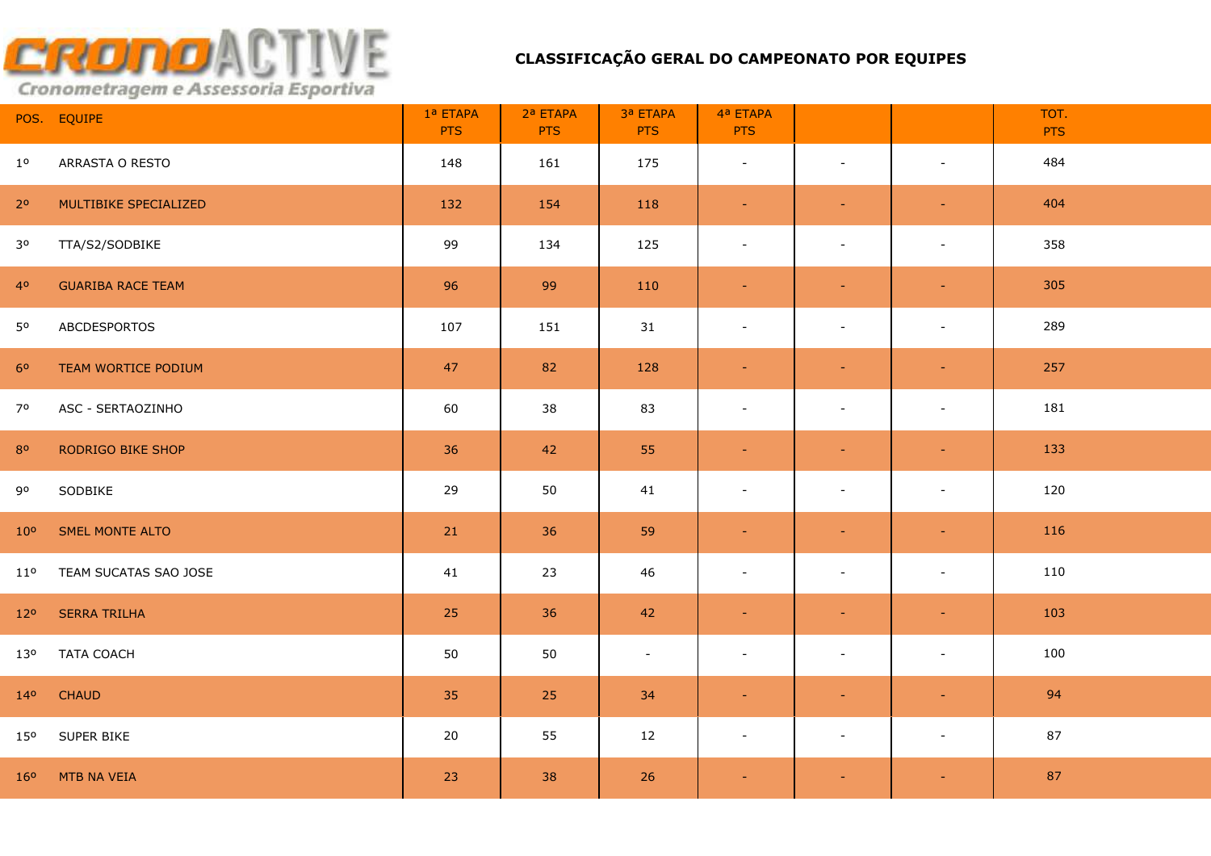|                 | POS. EQUIPE              | 1ª ETAPA<br><b>PTS</b> | 2ª ETAPA<br><b>PTS</b> | 3ª ETAPA<br><b>PTS</b> | 4ª ETAPA<br><b>PTS</b>   |                          |                | TOT.<br><b>PTS</b> |
|-----------------|--------------------------|------------------------|------------------------|------------------------|--------------------------|--------------------------|----------------|--------------------|
| $1^{\circ}$     | ARRASTA O RESTO          | 148                    | 161                    | 175                    | $\blacksquare$           | $\sim$                   | $\blacksquare$ | 484                |
| 2 <sup>o</sup>  | MULTIBIKE SPECIALIZED    | 132                    | 154                    | 118                    | $\sim$                   | $\sim$                   | $\sim$         | 404                |
| 3 <sup>o</sup>  | TTA/S2/SODBIKE           | 99                     | 134                    | 125                    | $\sim$                   | $\sim$                   | $\blacksquare$ | 358                |
| 4 <sup>o</sup>  | <b>GUARIBA RACE TEAM</b> | 96                     | 99                     | 110                    | $\omega$                 | $\blacksquare$           | $\sim$         | 305                |
| 50              | ABCDESPORTOS             | 107                    | 151                    | 31                     | $\overline{\phantom{a}}$ | $\overline{\phantom{a}}$ | $\blacksquare$ | 289                |
| 6 <sup>o</sup>  | TEAM WORTICE PODIUM      | 47                     | 82                     | 128                    | $\sim$                   | $\blacksquare$           | $\sim$         | 257                |
| 70              | ASC - SERTAOZINHO        | 60                     | 38                     | 83                     | $\blacksquare$           | $\sim$                   | $\blacksquare$ | 181                |
| 80              | RODRIGO BIKE SHOP        | 36                     | 42                     | 55                     | $\blacksquare$           | $\sim$                   | $\blacksquare$ | 133                |
| 90              | SODBIKE                  | 29                     | 50                     | 41                     | $\overline{\phantom{a}}$ | $\blacksquare$           | $\blacksquare$ | 120                |
| 10 <sup>o</sup> | SMEL MONTE ALTO          | 21                     | 36                     | 59                     | $\blacksquare$           | $\blacksquare$           | $\equiv$       | 116                |
| $11^{\circ}$    | TEAM SUCATAS SAO JOSE    | 41                     | 23                     | 46                     | $\blacksquare$           | $\sim$                   | $\blacksquare$ | 110                |
| 12 <sup>o</sup> | <b>SERRA TRILHA</b>      | 25                     | 36                     | 42                     | $\blacksquare$           | $\equiv$                 | $\blacksquare$ | 103                |
| 130             | <b>TATA COACH</b>        | 50                     | 50                     | $\blacksquare$         | $\overline{\phantom{a}}$ | $\blacksquare$           | $\blacksquare$ | 100                |
| 14 <sup>o</sup> | <b>CHAUD</b>             | 35                     | 25                     | 34                     | $\blacksquare$           | $\equiv$                 | $\sim$         | 94                 |
| 15 <sup>o</sup> | SUPER BIKE               | 20                     | 55                     | 12                     | $\blacksquare$           | $\blacksquare$           | $\blacksquare$ | 87                 |
|                 | 16° MTB NA VEIA          | 23                     | 38                     | 26                     | $\blacksquare$           | $\equiv$                 | $\sim$         | 87                 |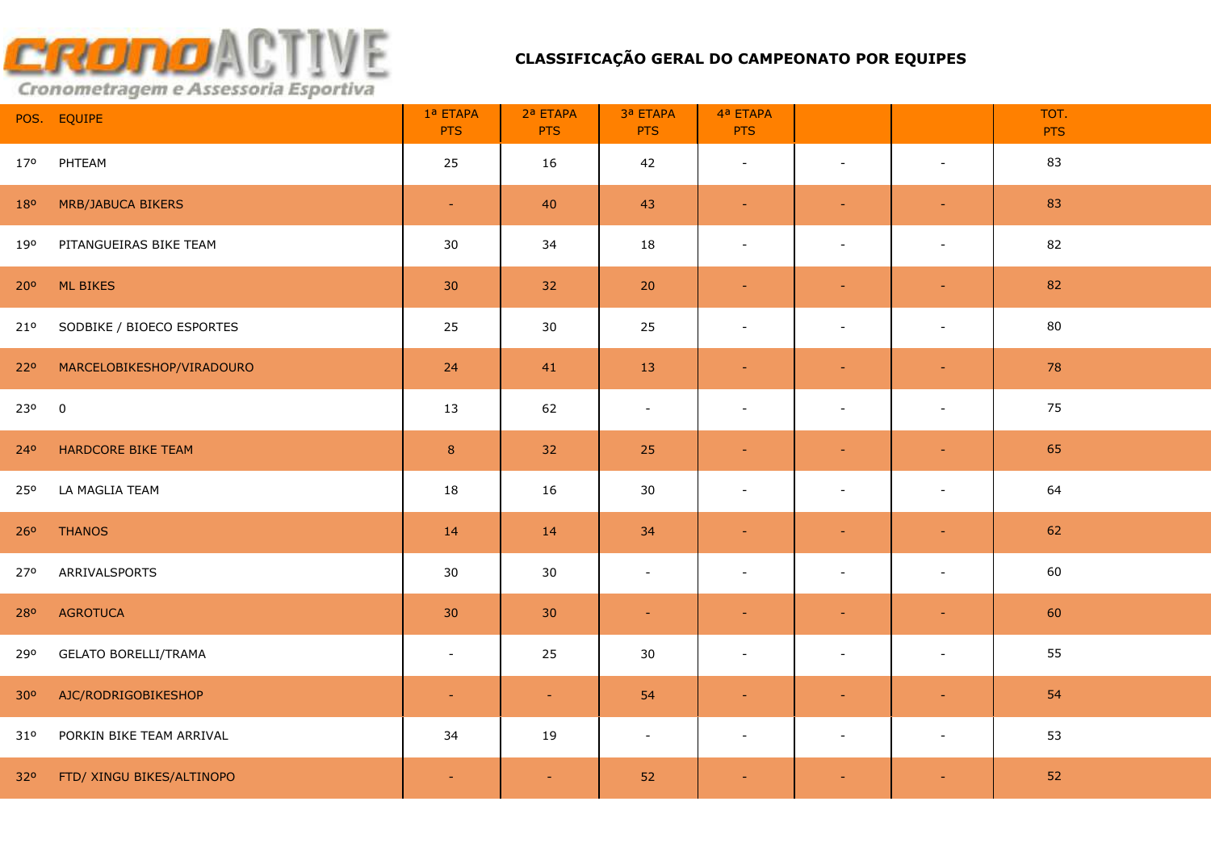|                 | POS. EQUIPE                 | 1ª ETAPA<br><b>PTS</b> | 2ª ETAPA<br><b>PTS</b> | 3ª ETAPA<br><b>PTS</b> | 4ª ETAPA<br><b>PTS</b>   |                          |                          | TOT.<br><b>PTS</b> |
|-----------------|-----------------------------|------------------------|------------------------|------------------------|--------------------------|--------------------------|--------------------------|--------------------|
| 170             | PHTEAM                      | 25                     | 16                     | 42                     | $\blacksquare$           | $\sim$                   | $\overline{\phantom{a}}$ | 83                 |
| 180             | <b>MRB/JABUCA BIKERS</b>    | $\blacksquare$         | 40                     | 43                     | $\blacksquare$           | ٠                        | $\equiv$                 | 83                 |
| 190             | PITANGUEIRAS BIKE TEAM      | 30                     | 34                     | 18                     | $\blacksquare$           | $\sim$                   | $\blacksquare$           | 82                 |
| 20 <sup>o</sup> | <b>ML BIKES</b>             | 30                     | 32                     | 20                     | $\equiv$                 | $\equiv$                 | $\blacksquare$           | 82                 |
| 21 <sup>o</sup> | SODBIKE / BIOECO ESPORTES   | 25                     | 30                     | 25                     | $\blacksquare$           | $\overline{\phantom{a}}$ | $\overline{\phantom{a}}$ | 80                 |
| 220             | MARCELOBIKESHOP/VIRADOURO   | 24                     | 41                     | 13                     | $\blacksquare$           | $\blacksquare$           | $\blacksquare$           | 78                 |
| 230             | $\mathbf 0$                 | 13                     | 62                     | $\blacksquare$         | $\blacksquare$           | $\blacksquare$           | $\blacksquare$           | 75                 |
| 240             | HARDCORE BIKE TEAM          | $\,$ 8 $\,$            | 32                     | 25                     | $\blacksquare$           | $\sim$                   | $\blacksquare$           | 65                 |
| 25 <sup>o</sup> | LA MAGLIA TEAM              | 18                     | 16                     | 30                     | $\sim$                   | $\overline{\phantom{a}}$ | $\blacksquare$           | 64                 |
| 260             | <b>THANOS</b>               | 14                     | 14                     | 34                     | $\blacksquare$           | $\blacksquare$           | $\equiv$                 | 62                 |
| 270             | ARRIVALSPORTS               | 30                     | 30                     | $\blacksquare$         | $\blacksquare$           | $\overline{\phantom{a}}$ | $\overline{\phantom{a}}$ | 60                 |
| 280             | <b>AGROTUCA</b>             | 30 <sup>°</sup>        | 30                     | $\equiv$               | $\blacksquare$           | $\sim$                   | $\equiv$                 | 60                 |
| 290             | <b>GELATO BORELLI/TRAMA</b> | $\sim$                 | 25                     | 30                     | $\overline{\phantom{a}}$ | $\overline{\phantom{a}}$ | $\overline{\phantom{a}}$ | 55                 |
| 30 <sup>o</sup> | AJC/RODRIGOBIKESHOP         | $\sim$                 | $\sim$                 | 54                     | $\blacksquare$           |                          | $\equiv$                 | 54                 |
| 31°             | PORKIN BIKE TEAM ARRIVAL    | 34                     | 19                     | $\blacksquare$         | $\overline{\phantom{a}}$ | $\sim$                   | $\overline{\phantom{a}}$ | 53                 |
| 32 <sup>o</sup> | FTD/ XINGU BIKES/ALTINOPO   | $\sim$                 | $\sim$                 | 52                     | $\sim$                   | $\sim$                   | $\sim$                   | 52                 |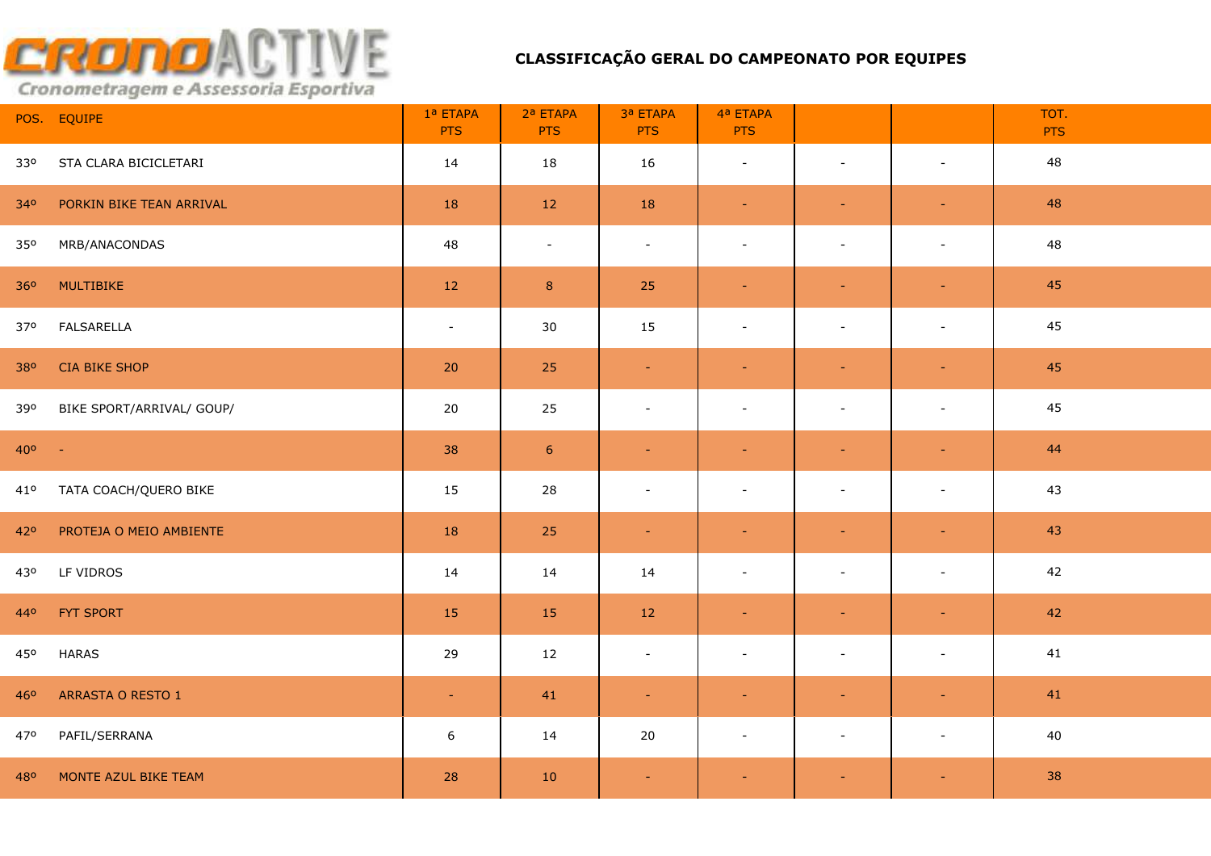|                 | POS. EQUIPE               | 1ª ETAPA<br><b>PTS</b> | 2ª ETAPA<br><b>PTS</b> | 3ª ETAPA<br><b>PTS</b> | 4ª ETAPA<br><b>PTS</b>   |                          |                          | TOT.<br><b>PTS</b> |
|-----------------|---------------------------|------------------------|------------------------|------------------------|--------------------------|--------------------------|--------------------------|--------------------|
| 330             | STA CLARA BICICLETARI     | 14                     | 18                     | 16                     | $\sim$                   | $\sim$                   | $\blacksquare$           | 48                 |
| 340             | PORKIN BIKE TEAN ARRIVAL  | 18                     | 12                     | 18                     | $\sim$                   | $\sim$                   | $\blacksquare$           | 48                 |
| 350             | MRB/ANACONDAS             | 48                     | $\sim$                 | $\sim$                 | $\blacksquare$           | $\blacksquare$           | $\overline{\phantom{a}}$ | 48                 |
| 360             | MULTIBIKE                 | 12                     | $\bf 8$                | 25                     | $\equiv$                 | $\blacksquare$           | $\blacksquare$           | 45                 |
| 37 <sup>o</sup> | <b>FALSARELLA</b>         | $\sim$                 | 30                     | 15                     | $\blacksquare$           | $\blacksquare$           | $\blacksquare$           | 45                 |
| 380             | <b>CIA BIKE SHOP</b>      | 20                     | 25                     | $\sim$                 | $\blacksquare$           | $\blacksquare$           | $\omega$                 | 45                 |
| 390             | BIKE SPORT/ARRIVAL/ GOUP/ | 20                     | 25                     | $\blacksquare$         | $\blacksquare$           | $\overline{\phantom{a}}$ | $\overline{\phantom{a}}$ | 45                 |
| $40^{\circ}$ -  |                           | 38                     | $6\phantom{1}6$        | $\omega$               | $\blacksquare$           | $\sim$                   | $\blacksquare$           | 44                 |
| 41°             | TATA COACH/QUERO BIKE     | 15                     | 28                     | $\blacksquare$         | $\blacksquare$           | $\overline{\phantom{a}}$ | $\blacksquare$           | 43                 |
| 42°             | PROTEJA O MEIO AMBIENTE   | 18                     | 25                     | $\blacksquare$         | $\blacksquare$           | $\blacksquare$           | $\blacksquare$           | 43                 |
| 430             | LF VIDROS                 | 14                     | 14                     | 14                     | $\blacksquare$           | $\blacksquare$           | $\blacksquare$           | 42                 |
| 440             | FYT SPORT                 | 15                     | 15                     | 12                     | $\omega$                 | $\sim$                   | $\blacksquare$           | 42                 |
| 450             | <b>HARAS</b>              | 29                     | 12                     | $\equiv$               | $\overline{\phantom{a}}$ | $\blacksquare$           | $\blacksquare$           | 41                 |
| 460             | ARRASTA O RESTO 1         | $\blacksquare$         | 41                     | $\blacksquare$         | ٠                        |                          | $\blacksquare$           | 41                 |
| 470             | PAFIL/SERRANA             | $6\,$                  | 14                     | 20                     | $\overline{\phantom{a}}$ | $\overline{\phantom{a}}$ | $\overline{\phantom{a}}$ | 40                 |
| 480             | MONTE AZUL BIKE TEAM      | 28                     | 10                     | $\sim$                 | $\sim$                   | $\blacksquare$           | $\sim$                   | 38                 |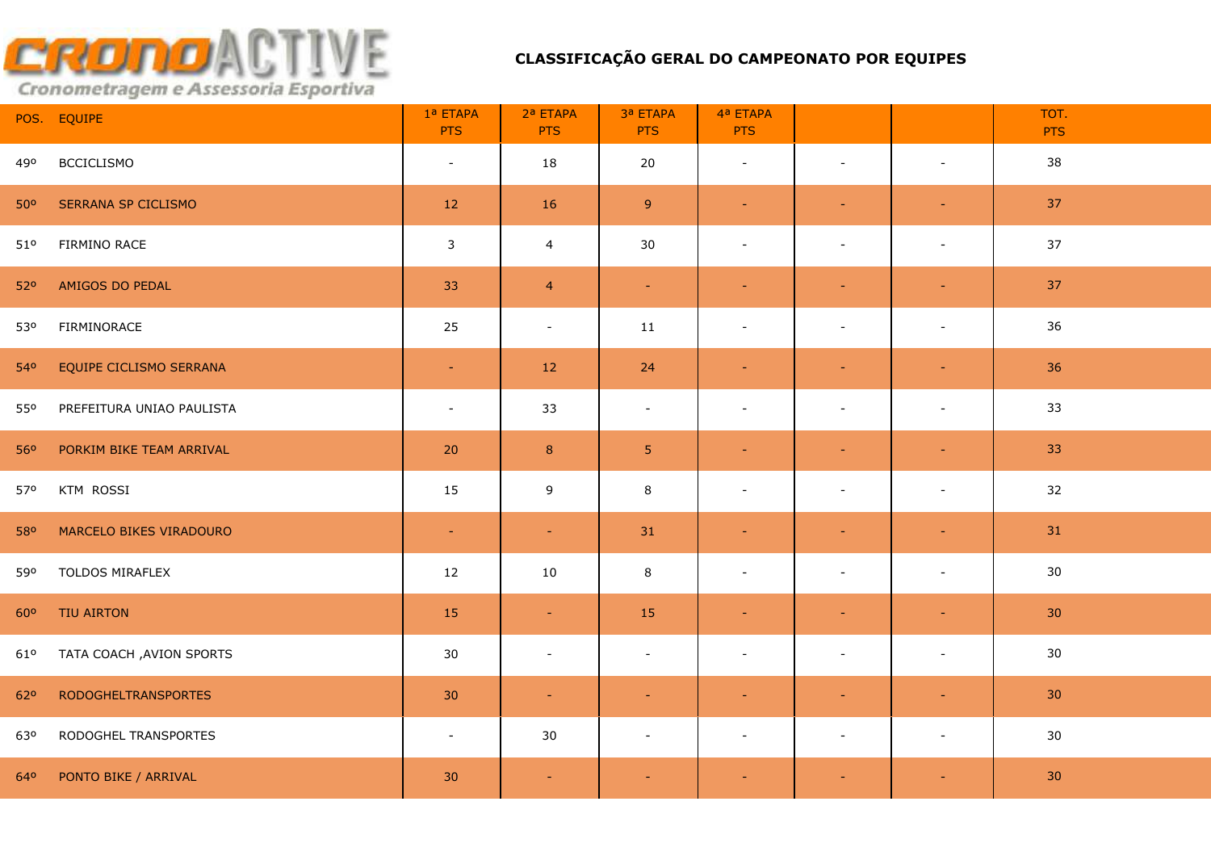|     | POS. EQUIPE                | 1ª ETAPA<br><b>PTS</b>   | 2ª ETAPA<br><b>PTS</b> | 3ª ETAPA<br><b>PTS</b>   | 4ª ETAPA<br><b>PTS</b>   |                          |                          | TOT.<br><b>PTS</b> |
|-----|----------------------------|--------------------------|------------------------|--------------------------|--------------------------|--------------------------|--------------------------|--------------------|
| 490 | <b>BCCICLISMO</b>          | $\sim$                   | 18                     | 20                       | $\overline{\phantom{a}}$ | $\sim$                   | $\blacksquare$           | 38                 |
| 50° | <b>SERRANA SP CICLISMO</b> | 12                       | 16                     | 9 <sup>°</sup>           | $\omega$                 | $\sim$                   | $\sim$                   | 37                 |
| 51° | FIRMINO RACE               | $\mathbf{3}$             | $\overline{4}$         | 30                       | $\blacksquare$           | $\sim$                   | $\sim$                   | 37                 |
| 520 | AMIGOS DO PEDAL            | 33                       | $\overline{4}$         | $\omega_{\rm c}$         | $\blacksquare$           | $\blacksquare$           | $\blacksquare$           | 37                 |
| 530 | FIRMINORACE                | 25                       | $\sim$                 | 11                       | $\overline{\phantom{a}}$ | $\overline{\phantom{a}}$ | $\blacksquare$           | 36                 |
| 540 | EQUIPE CICLISMO SERRANA    | $\equiv$                 | 12                     | 24                       | $\blacksquare$           | $\blacksquare$           | $\omega$                 | 36                 |
| 550 | PREFEITURA UNIAO PAULISTA  | $\overline{\phantom{a}}$ | 33                     | $\overline{\phantom{a}}$ | $\overline{\phantom{a}}$ | $\blacksquare$           | $\blacksquare$           | 33                 |
| 560 | PORKIM BIKE TEAM ARRIVAL   | 20                       | $\bf 8$                | 5 <sub>1</sub>           | $\blacksquare$           | $\sim$                   | $\sim$                   | 33                 |
| 570 | KTM ROSSI                  | 15                       | 9                      | 8                        | $\overline{\phantom{a}}$ | $\blacksquare$           | $\overline{\phantom{a}}$ | 32                 |
| 580 | MARCELO BIKES VIRADOURO    | $\sim$                   | $\sim$                 | 31                       | $\blacksquare$           | $\equiv$                 | $\sim$                   | 31                 |
| 590 | TOLDOS MIRAFLEX            | 12                       | 10                     | 8                        | $\overline{\phantom{a}}$ | $\overline{\phantom{a}}$ | $\blacksquare$           | 30                 |
| 600 | TIU AIRTON                 | 15                       | $\sim$                 | 15                       | $\blacksquare$           |                          | $\blacksquare$           | 30 <sub>2</sub>    |
| 61° | TATA COACH , AVION SPORTS  | 30                       | $\sim$                 | $\overline{\phantom{a}}$ | $\overline{\phantom{a}}$ | $\overline{\phantom{a}}$ | $\overline{\phantom{a}}$ | 30                 |
| 620 | <b>RODOGHELTRANSPORTES</b> | 30                       | $\sim$                 | $\blacksquare$           | $\equiv$                 |                          | $\sim$                   | 30 <sup>°</sup>    |
| 630 | RODOGHEL TRANSPORTES       | $\blacksquare$           | 30                     | $\blacksquare$           | $\overline{\phantom{a}}$ | $\blacksquare$           | $\blacksquare$           | 30                 |
| 640 | PONTO BIKE / ARRIVAL       | 30                       | $\sim$                 | $\blacksquare$           | $\blacksquare$           | $\sim$                   | $\blacksquare$           | 30 <sup>°</sup>    |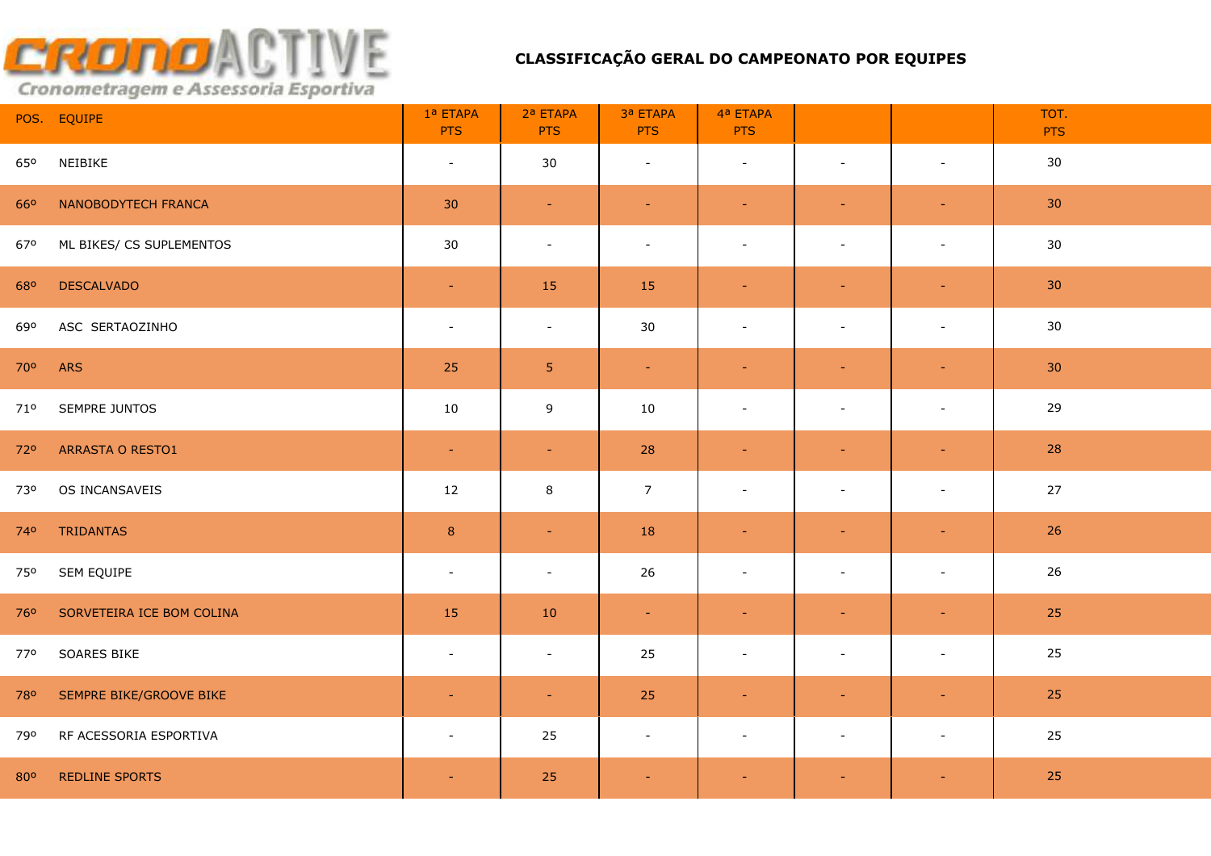|     | POS. EQUIPE               | 1ª ETAPA<br><b>PTS</b>   | 2ª ETAPA<br><b>PTS</b> | 3ª ETAPA<br><b>PTS</b> | 4ª ETAPA<br><b>PTS</b>   |                          |                          | TOT.<br><b>PTS</b> |
|-----|---------------------------|--------------------------|------------------------|------------------------|--------------------------|--------------------------|--------------------------|--------------------|
| 650 | NEIBIKE                   | $\blacksquare$           | 30                     | $\blacksquare$         | $\blacksquare$           | $\sim$                   | $\blacksquare$           | 30                 |
| 660 | NANOBODYTECH FRANCA       | 30                       | $\sim$                 | $\sim$                 | $\blacksquare$           | $\sim$                   | $\sim$                   | 30 <sub>o</sub>    |
| 670 | ML BIKES/ CS SUPLEMENTOS  | 30                       | $\sim$                 | $\blacksquare$         | $\blacksquare$           | $\sim$                   | $\blacksquare$           | 30                 |
| 680 | <b>DESCALVADO</b>         | $\sim$                   | 15                     | 15                     | $\blacksquare$           | $\blacksquare$           | $\sim$                   | 30 <sup>°</sup>    |
| 690 | ASC SERTAOZINHO           | $\overline{\phantom{a}}$ | $\sim$                 | 30                     | $\blacksquare$           | $\overline{\phantom{a}}$ | $\overline{\phantom{a}}$ | 30                 |
| 70° | <b>ARS</b>                | 25                       | 5 <sub>1</sub>         | $\omega_{\rm c}$       | $\blacksquare$           | $\blacksquare$           | $\blacksquare$           | 30 <sup>°</sup>    |
| 71° | SEMPRE JUNTOS             | 10                       | 9                      | 10                     | $\overline{\phantom{a}}$ | $\sim$                   | $\blacksquare$           | 29                 |
| 720 | ARRASTA O RESTO1          | $\blacksquare$           | $\sim$                 | 28                     | $\blacksquare$           |                          | $\sim$                   | 28                 |
| 730 | OS INCANSAVEIS            | 12                       | $\,8\,$                | $\overline{7}$         | $\overline{a}$           | $\sim$                   | $\sim$                   | $27$               |
| 740 | <b>TRIDANTAS</b>          | $\boldsymbol{8}$         | $\sim$                 | 18                     | $\blacksquare$           | $\sim$                   | $\pm$                    | 26                 |
| 750 | SEM EQUIPE                | $\sim$                   | $\sim$                 | 26                     | $\overline{\phantom{a}}$ | $\sim$                   | $\blacksquare$           | 26                 |
| 760 | SORVETEIRA ICE BOM COLINA | 15                       | $10\,$                 | $\sim$                 | $\blacksquare$           |                          | $\equiv$                 | 25                 |
| 770 | SOARES BIKE               | $\blacksquare$           | $\sim$                 | 25                     | $\overline{\phantom{a}}$ | $\overline{\phantom{a}}$ | $\blacksquare$           | 25                 |
| 780 | SEMPRE BIKE/GROOVE BIKE   | $\sim$                   | $\sim$                 | 25                     | $\blacksquare$           | $\sim$                   | $\sim$                   | 25                 |
| 790 | RF ACESSORIA ESPORTIVA    | $\blacksquare$           | 25                     | $\sim$                 | $\overline{\phantom{a}}$ | $\sim$                   | $\blacksquare$           | 25                 |
| 800 | <b>REDLINE SPORTS</b>     | ÷,                       | 25                     | $\blacksquare$         | $\equiv$                 |                          | $\blacksquare$           | 25                 |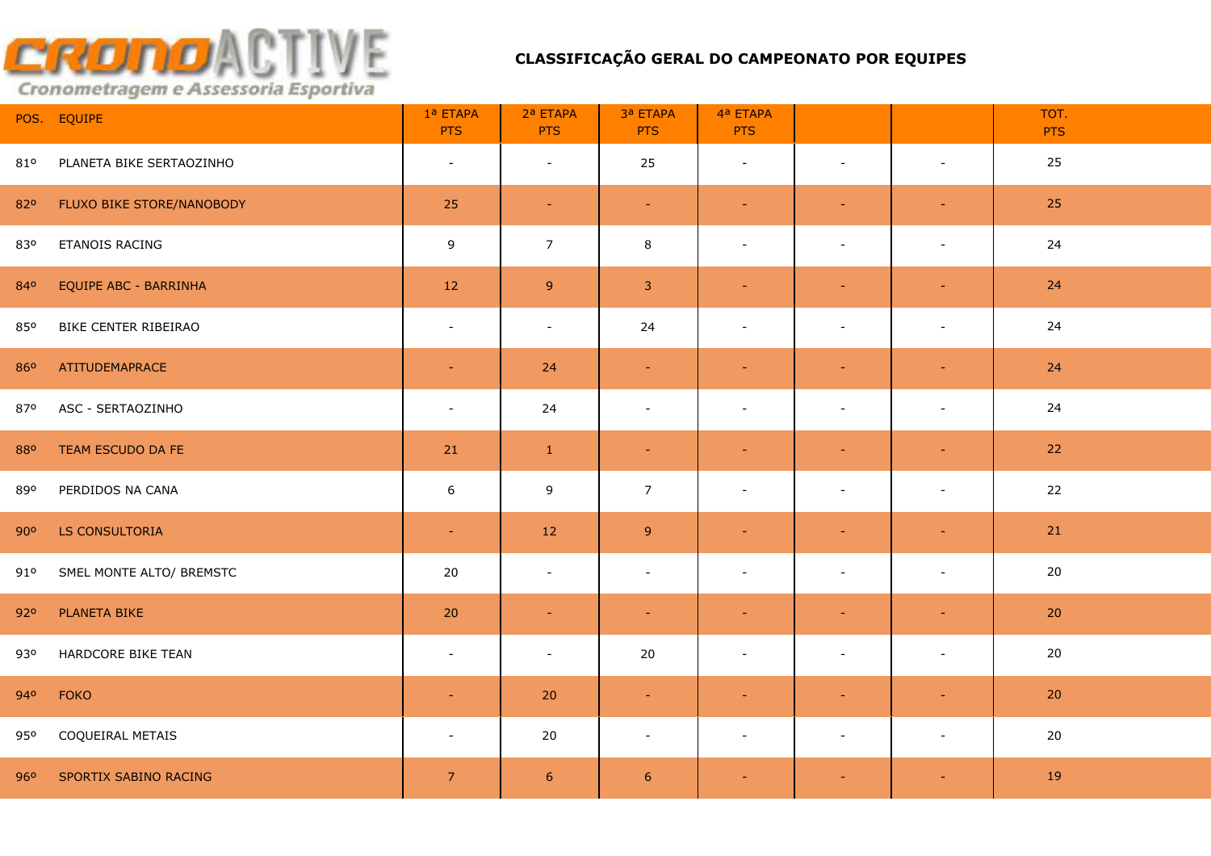|     | POS. EQUIPE               | 1ª ETAPA<br><b>PTS</b>   | 2ª ETAPA<br><b>PTS</b>   | 3ª ETAPA<br><b>PTS</b> | 4ª ETAPA<br><b>PTS</b>   |                          |                          | TOT.<br><b>PTS</b> |
|-----|---------------------------|--------------------------|--------------------------|------------------------|--------------------------|--------------------------|--------------------------|--------------------|
| 810 | PLANETA BIKE SERTAOZINHO  | $\blacksquare$           | $\sim$                   | 25                     | $\blacksquare$           | $\sim$                   | $\blacksquare$           | 25                 |
| 820 | FLUXO BIKE STORE/NANOBODY | 25                       | $\sim$                   | $\blacksquare$         | $\blacksquare$           | $\sim$                   | $\blacksquare$           | 25                 |
| 830 | ETANOIS RACING            | 9                        | $\overline{7}$           | 8                      | $\blacksquare$           | $\sim$                   | $\blacksquare$           | 24                 |
| 840 | EQUIPE ABC - BARRINHA     | 12                       | $9\,$                    | $\mathbf{3}$           | $\blacksquare$           | $\equiv$                 | $\blacksquare$           | 24                 |
| 850 | BIKE CENTER RIBEIRAO      | $\overline{\phantom{a}}$ | $\sim$                   | 24                     | $\overline{\phantom{a}}$ | $\blacksquare$           | $\overline{\phantom{a}}$ | 24                 |
| 860 | ATITUDEMAPRACE            | $\blacksquare$           | 24                       | $\equiv$               | $\blacksquare$           | $\equiv$                 | $\blacksquare$           | 24                 |
| 870 | ASC - SERTAOZINHO         | $\overline{\phantom{a}}$ | 24                       | $\blacksquare$         | $\overline{\phantom{a}}$ | $\overline{\phantom{a}}$ | $\blacksquare$           | 24                 |
| 880 | TEAM ESCUDO DA FE         | 21                       | $\mathbf{1}$             | $\blacksquare$         | ÷                        | $\sim$                   | $\equiv$                 | 22                 |
| 890 | PERDIDOS NA CANA          | $\boldsymbol{6}$         | 9                        | $\overline{7}$         | $\sim$                   |                          | $\sim$                   | 22                 |
| 90° | LS CONSULTORIA            | $\equiv$                 | 12                       | $\overline{9}$         | $\equiv$                 | $\sim$                   | $\equiv$                 | 21                 |
| 91° | SMEL MONTE ALTO/ BREMSTC  | 20                       | $\sim$                   | $\blacksquare$         | $\overline{\phantom{a}}$ | $\sim$                   | $\blacksquare$           | 20                 |
| 920 | PLANETA BIKE              | 20                       | $\sim$                   | $\blacksquare$         | $\blacksquare$           | $\overline{\phantom{a}}$ | $\blacksquare$           | 20                 |
| 930 | HARDCORE BIKE TEAN        | $\sim$                   | $\overline{\phantom{a}}$ | $20\,$                 | $\overline{\phantom{a}}$ | $\blacksquare$           | $\blacksquare$           | 20                 |
| 940 | <b>FOKO</b>               | $\blacksquare$           | 20                       | $\equiv$               | $\blacksquare$           | $\sim$                   | $\blacksquare$           | 20                 |
| 950 | COQUEIRAL METAIS          | $\blacksquare$           | 20                       | $\blacksquare$         | $\blacksquare$           | $\sim$                   | $\blacksquare$           | 20                 |
| 960 | SPORTIX SABINO RACING     | $\overline{7}$           | $\boldsymbol{6}$         | $6\phantom{1}6$        |                          |                          | $\blacksquare$           | 19                 |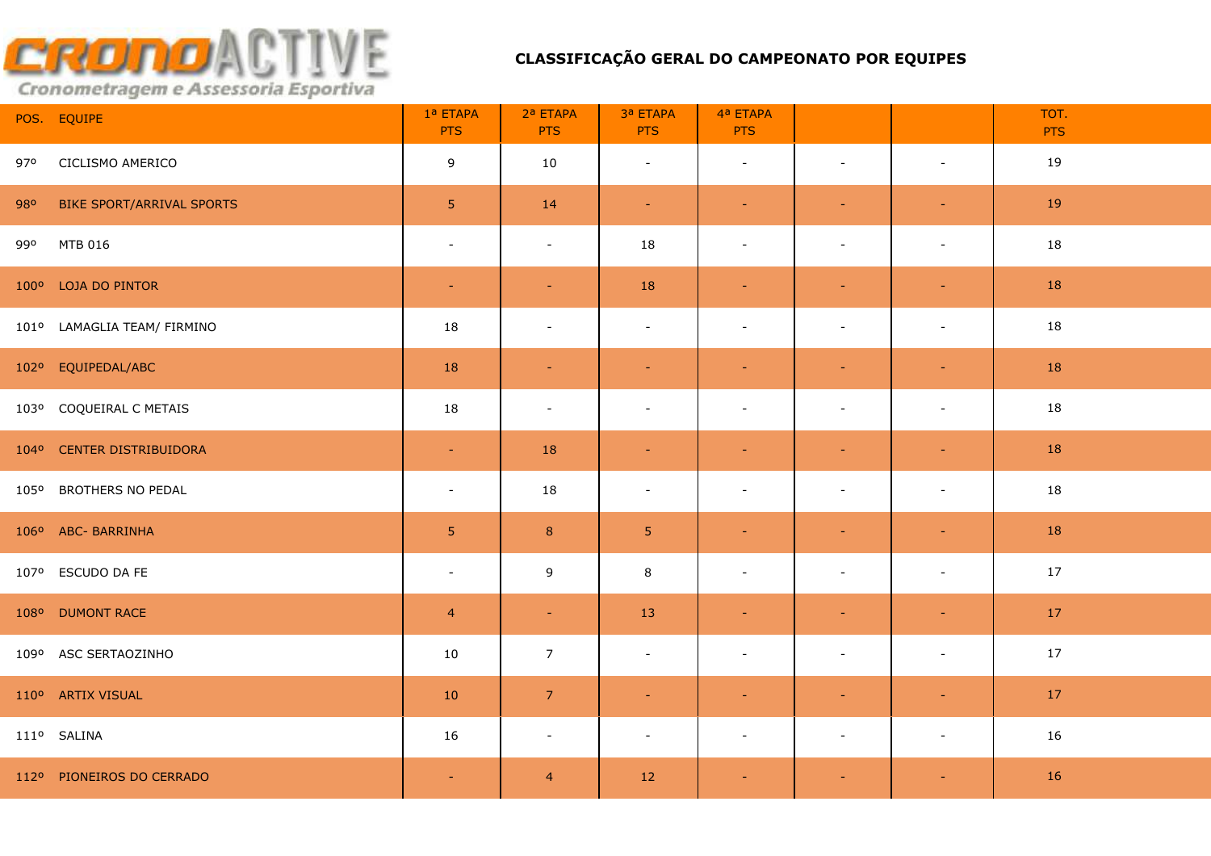| POS. EQUIPE                      | 1ª ETAPA<br><b>PTS</b> | 2ª ETAPA<br><b>PTS</b>   | 3ª ETAPA<br><b>PTS</b> | 4ª ETAPA<br><b>PTS</b>   |                          |                          | TOT.<br><b>PTS</b> |
|----------------------------------|------------------------|--------------------------|------------------------|--------------------------|--------------------------|--------------------------|--------------------|
| CICLISMO AMERICO<br>970          | 9                      | 10                       | $\blacksquare$         | $\sim$                   | $\sim$                   | $\blacksquare$           | 19                 |
| BIKE SPORT/ARRIVAL SPORTS<br>980 | 5 <sub>1</sub>         | 14                       | $\rightarrow$          | $\blacksquare$           | $\equiv$                 | $\sim$                   | 19                 |
| MTB 016<br>990                   | $\sim$                 | $\sim$                   | 18                     | $\sim$                   | $\sim$                   | $\blacksquare$           | 18                 |
| 100° LOJA DO PINTOR              | $\sim$                 | $\sim$                   | 18                     | $\sim$                   | $\equiv$                 | $\blacksquare$           | 18                 |
| 101º LAMAGLIA TEAM/ FIRMINO      | 18                     | $\overline{\phantom{a}}$ | $\sim$                 | $\overline{\phantom{a}}$ | $\overline{\phantom{a}}$ | $\overline{\phantom{a}}$ | 18                 |
| 102º EQUIPEDAL/ABC               | 18                     | $\sim$                   | $\blacksquare$         | $\blacksquare$           | $\blacksquare$           | $\blacksquare$           | 18                 |
| 103º COQUEIRAL C METAIS          | 18                     | $\overline{\phantom{a}}$ | $\sim$                 | $\overline{\phantom{a}}$ | $\blacksquare$           | $\sim$                   | 18                 |
| 104° CENTER DISTRIBUIDORA        | $\sim$                 | 18                       | $\blacksquare$         | $\blacksquare$           | $\equiv$                 | $\equiv$                 | 18                 |
| 105° BROTHERS NO PEDAL           | $\sim$                 | 18                       | $\sim$                 | $\sim$                   | $\sim$                   | $\sim$                   | 18                 |
| 106° ABC- BARRINHA               | 5 <sub>o</sub>         | $\,$ 8 $\,$              | $\overline{5}$         | $\blacksquare$           | $\blacksquare$           | $\blacksquare$           | 18                 |
| 107º ESCUDO DA FE                | $\blacksquare$         | 9                        | 8                      | $\sim$                   | $\blacksquare$           | $\sim$                   | 17                 |
| 108º DUMONT RACE                 | $\overline{4}$         | $\sim$                   | 13                     | $\blacksquare$           |                          | $\blacksquare$           | 17                 |
| 109º ASC SERTAOZINHO             | 10                     | $\overline{7}$           | $\sim$                 | $\sim$                   | $\sim$                   | $\sim$                   | 17                 |
| 110° ARTIX VISUAL                | $10$                   | $\overline{7}$           | ٠                      | $\blacksquare$           |                          | $\equiv$                 | 17                 |
| 111º SALINA                      | 16                     | $\sim$                   | $\blacksquare$         | $\overline{\phantom{a}}$ | $\blacksquare$           | $\overline{\phantom{a}}$ | 16                 |
| 112º PIONEIROS DO CERRADO        | $\equiv$               | $\overline{4}$           | 12                     | $\blacksquare$           | $\equiv$                 | $\blacksquare$           | 16                 |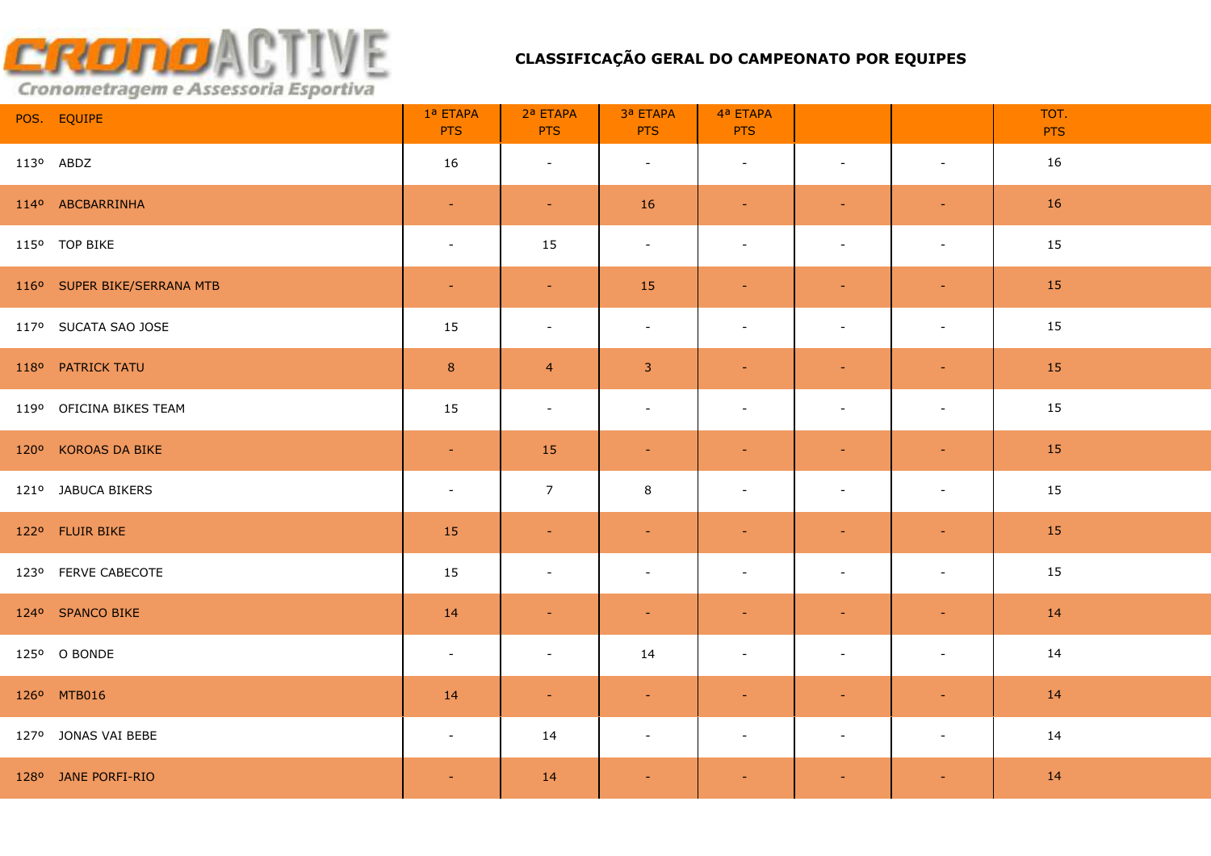| POS. EQUIPE                 | 1ª ETAPA<br><b>PTS</b> | 2ª ETAPA<br><b>PTS</b> | 3ª ETAPA<br><b>PTS</b> | 4ª ETAPA<br><b>PTS</b>   |                          |                          | TOT.<br><b>PTS</b> |
|-----------------------------|------------------------|------------------------|------------------------|--------------------------|--------------------------|--------------------------|--------------------|
| 113º ABDZ                   | 16                     | $\sim$                 | $\sim$                 | $\sim$                   | $\sim$                   | $\sim$                   | 16                 |
| 114º ABCBARRINHA            | $\equiv$               | $\sim$                 | <b>16</b>              | $\sim$                   | $\sim$                   | $\sim$                   | 16                 |
| 115° TOP BIKE               | $\sim$                 | 15                     | $\sim$                 | $\sim$                   | $\sim$                   | $\sim$                   | 15                 |
| 116° SUPER BIKE/SERRANA MTB | $\sim$                 | $\sim$ $^{-1}$         | 15                     | $\sim$                   | $\equiv$                 | $\sim$                   | 15                 |
| 117º SUCATA SAO JOSE        | 15                     | $\sim$                 | $\sim$                 | $\overline{\phantom{a}}$ | $\blacksquare$           | $\blacksquare$           | 15                 |
| 118º PATRICK TATU           | 8                      | $\overline{4}$         | $\mathbf{3}$           | $\blacksquare$           | $\blacksquare$           | $\equiv$                 | 15                 |
| 119º OFICINA BIKES TEAM     | 15                     | $\sim$                 | $\sim$                 | $\overline{\phantom{a}}$ | $\overline{\phantom{a}}$ | $\overline{\phantom{a}}$ | 15                 |
| 120° KOROAS DA BIKE         | $\sim$                 | 15                     | $\sim$                 | $\sim$                   | $\blacksquare$           | $\sim$                   | 15                 |
| 121º JABUCA BIKERS          | $\sim$                 | $\overline{7}$         | 8                      | $\overline{\phantom{a}}$ |                          | $\overline{\phantom{a}}$ | 15                 |
| 122º FLUIR BIKE             | 15                     | $\sim$                 | $\sim$                 | $\blacksquare$           | $\blacksquare$           | $\equiv$                 | 15                 |
| 123º FERVE CABECOTE         | 15                     | $\sim$                 | $\sim$                 | $\sim$                   | $\sim$                   | $\sim$                   | 15                 |
| 124º SPANCO BIKE            | 14                     | $\sim$                 | $\sim$                 | $\sim$                   | $\sim$                   | $\sim$                   | 14                 |
| 125º O BONDE                | $\sim$                 | $\sim$                 | 14                     | $\blacksquare$           | $\sim$                   | $\blacksquare$           | 14                 |
| 126° MTB016                 | 14                     | $\sim$                 | $\equiv$               | $\blacksquare$           | $\blacksquare$           | $\blacksquare$           | 14                 |
| 127º JONAS VAI BEBE         | $\sim$                 | 14                     | $\sim$                 | $\sim$                   | $\sim$                   | $\blacksquare$           | 14                 |
| 128º JANE PORFI-RIO         | $\sim$                 | 14                     | $\blacksquare$         | $\blacksquare$           | $\equiv$                 | $\sim$                   | 14                 |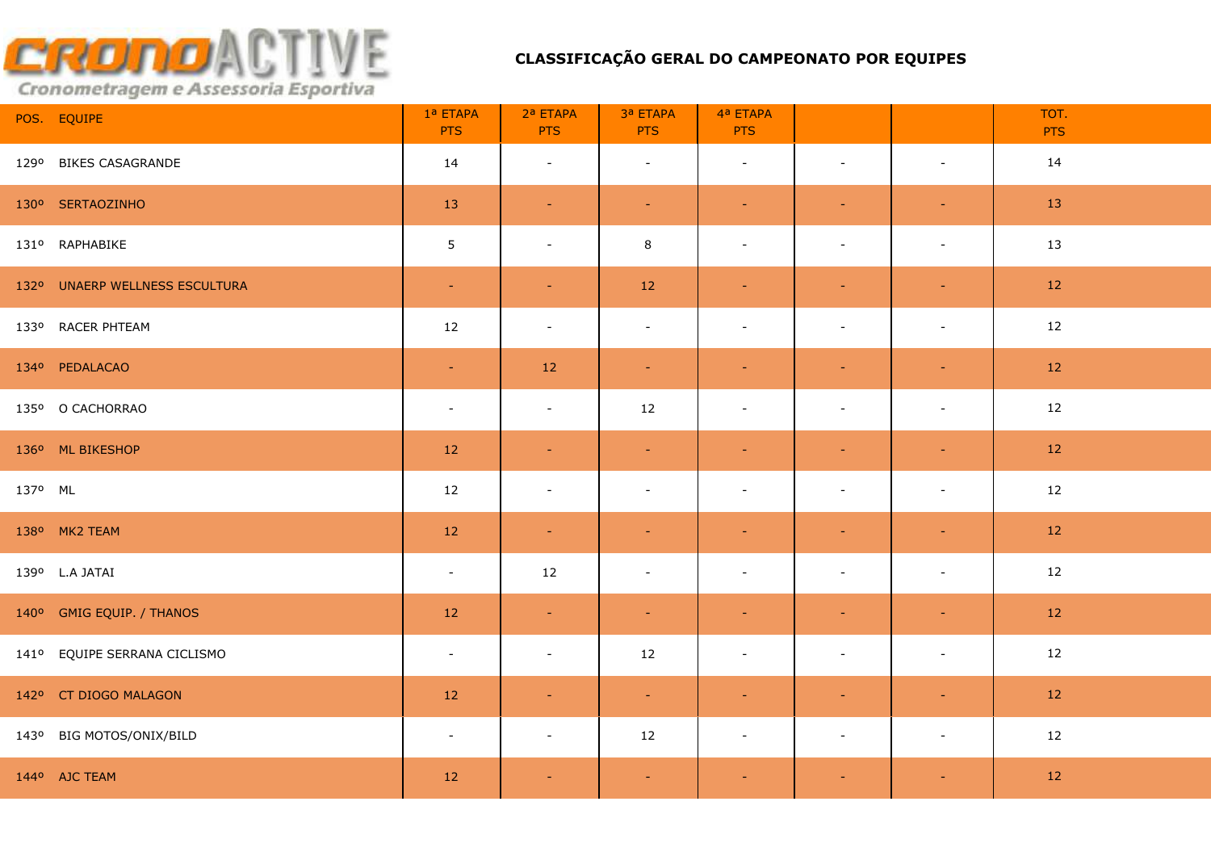| POS. EQUIPE                    | 1ª ETAPA<br><b>PTS</b>   | 2ª ETAPA<br><b>PTS</b>   | 3ª ETAPA<br><b>PTS</b> | 4ª ETAPA<br><b>PTS</b>   |                |                          | TOT.<br><b>PTS</b> |
|--------------------------------|--------------------------|--------------------------|------------------------|--------------------------|----------------|--------------------------|--------------------|
| 129º BIKES CASAGRANDE          | 14                       | $\sim$                   | $\sim$                 | $\sim$                   | $\sim$         | $\blacksquare$           | 14                 |
| 130° SERTAOZINHO               | 13                       | $\sim$                   | $\blacksquare$         | $\blacksquare$           |                | ٠                        | 13                 |
| 131º RAPHABIKE                 | $\overline{5}$           | $\sim$                   | 8                      | $\sim$                   | $\sim$         | $\sim$                   | 13                 |
| 132º UNAERP WELLNESS ESCULTURA | $\sim$                   | $\sim$                   | 12                     | $\sim$                   | $\sim$         | $\blacksquare$           | 12                 |
| 133º RACER PHTEAM              | 12                       | $\sim$                   | $\sim$                 | $\blacksquare$           | $\blacksquare$ | $\blacksquare$           | 12                 |
| 134º PEDALACAO                 | $\sim$                   | 12                       | $\equiv$               | $\equiv$                 | $\blacksquare$ | $\blacksquare$           | 12                 |
| 135º O CACHORRAO               | $\overline{\phantom{a}}$ | $\sim$                   | 12                     | $\overline{\phantom{a}}$ | $\blacksquare$ | $\overline{\phantom{a}}$ | 12                 |
| 136° ML BIKESHOP               | 12                       | $\sim$                   | $\equiv$               | $\blacksquare$           | $\equiv$       | $\sim$                   | 12                 |
| 137º ML                        | 12                       | $\overline{\phantom{a}}$ | $\sim$                 | $\overline{\phantom{a}}$ | $\blacksquare$ | $\blacksquare$           | 12                 |
| 138º MK2 TEAM                  | 12                       | $\sim$                   | $\blacksquare$         | $\blacksquare$           | $\sim$         | $\equiv$                 | 12                 |
| 139º L.A JATAI                 | $\sim$                   | 12                       | $\blacksquare$         | $\blacksquare$           | $\sim$         | $\blacksquare$           | 12                 |
| 140° GMIG EQUIP. / THANOS      | 12                       | $\sim$                   | $\sim$                 | $\blacksquare$           | $\equiv$       | $\blacksquare$           | 12                 |
| 141º EQUIPE SERRANA CICLISMO   | $\sim$                   | $\sim$                   | 12                     | $\blacksquare$           | $\sim$         | $\blacksquare$           | 12                 |
| 142º CT DIOGO MALAGON          | 12                       | $\sim$                   | $\pm$                  | $\blacksquare$           | $\blacksquare$ | $\sim$                   | 12                 |
| 143º BIG MOTOS/ONIX/BILD       | $\sim$                   | $\sim$                   | 12                     | $\sim$                   | $\blacksquare$ | $\blacksquare$           | 12                 |
| 144º AJC TEAM                  | 12                       | $\sim$                   | $\blacksquare$         | $\blacksquare$           | $\equiv$       | $\blacksquare$           | 12                 |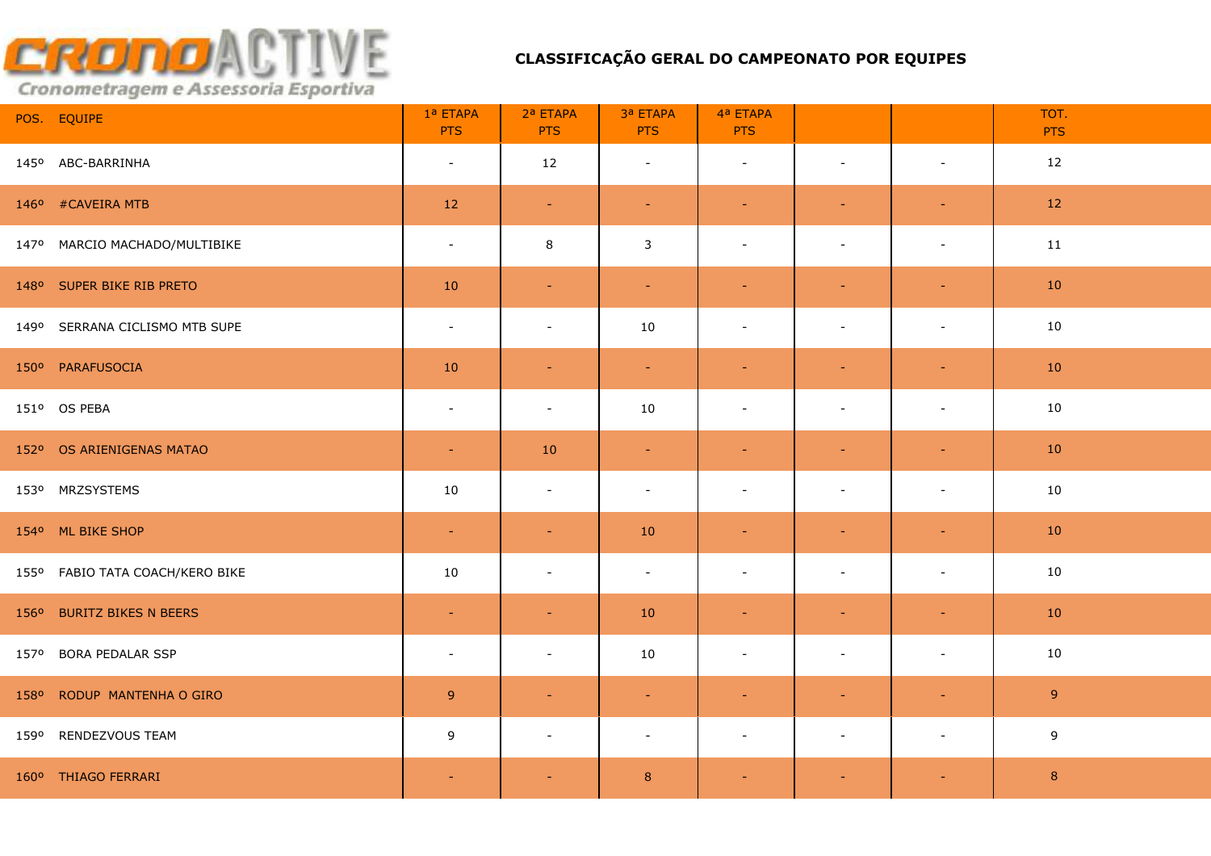| POS. EQUIPE                     | 1ª ETAPA<br><b>PTS</b> | 2ª ETAPA<br><b>PTS</b> | 3ª ETAPA<br><b>PTS</b> | 4ª ETAPA<br><b>PTS</b>   |                          |                          | TOT.<br><b>PTS</b> |
|---------------------------------|------------------------|------------------------|------------------------|--------------------------|--------------------------|--------------------------|--------------------|
| 145º ABC-BARRINHA               | $\blacksquare$         | 12                     | $\sim$                 | $\blacksquare$           | $\sim$                   | $\blacksquare$           | 12                 |
| 146° #CAVEIRA MTB               | 12                     | $\sim$                 | $\equiv$               | $\blacksquare$           | $\sim$                   | $\overline{\phantom{a}}$ | 12                 |
| 147º MARCIO MACHADO/MULTIBIKE   | $\sim$                 | 8                      | $\mathsf{3}$           | $\overline{\phantom{a}}$ | $\sim$                   | $\blacksquare$           | 11                 |
| 148º SUPER BIKE RIB PRETO       | 10                     | $\sim$                 | $\sim$                 | $\blacksquare$           | $\equiv$                 | $\sim$                   | 10                 |
| 149º SERRANA CICLISMO MTB SUPE  | $\blacksquare$         | $\sim$                 | 10                     | $\overline{\phantom{a}}$ | $\overline{\phantom{a}}$ | $\overline{\phantom{a}}$ | 10                 |
| 150° PARAFUSOCIA                | 10                     | $\sim$                 | $\omega_{\rm c}$       | $\sim$                   | $\sim$                   | $\sim$                   | 10                 |
| 151º OS PEBA                    | $\sim$                 | $\sim$                 | 10                     | $\overline{\phantom{a}}$ | $\blacksquare$           | $\overline{\phantom{a}}$ | 10                 |
| 152º OS ARIENIGENAS MATAO       | $\sim$                 | 10                     | $\sim$                 | $\blacksquare$           | $\sim$                   | $\equiv$                 | 10                 |
| 153º MRZSYSTEMS                 | 10                     | $\sim$                 | $\blacksquare$         | $\sim$                   | $\sim$                   | $\blacksquare$           | 10                 |
| 154º ML BIKE SHOP               | $\sim$                 | $\equiv$               | 10                     | $\blacksquare$           | $\equiv$                 | $\sim$                   | 10                 |
| 155º FABIO TATA COACH/KERO BIKE | 10                     | $\sim$                 | $\sim$                 | $\overline{\phantom{a}}$ | $\sim$                   | $\blacksquare$           | 10                 |
| 156º BURITZ BIKES N BEERS       | ÷.                     | $\sim$                 | 10                     | $\sim$                   | $\sim$                   | $\equiv$                 | 10                 |
| 157º BORA PEDALAR SSP           | $\blacksquare$         | $\sim$                 | 10                     | $\overline{\phantom{a}}$ | $\overline{\phantom{a}}$ | $\blacksquare$           | 10                 |
| 158º RODUP MANTENHA O GIRO      | 9                      |                        | $\blacksquare$         |                          |                          | ٠                        | 9 <sup>°</sup>     |
| 159º RENDEZVOUS TEAM            | 9                      | $\sim$                 | $\sim$                 | $\overline{\phantom{a}}$ | $\sim$                   | $\sim$                   | 9                  |
| 160° THIAGO FERRARI             | $\sim$                 | $\sim$                 | $\bf 8$                | $\sim$                   | $\sim$                   | $\sim$                   | $\bf 8$            |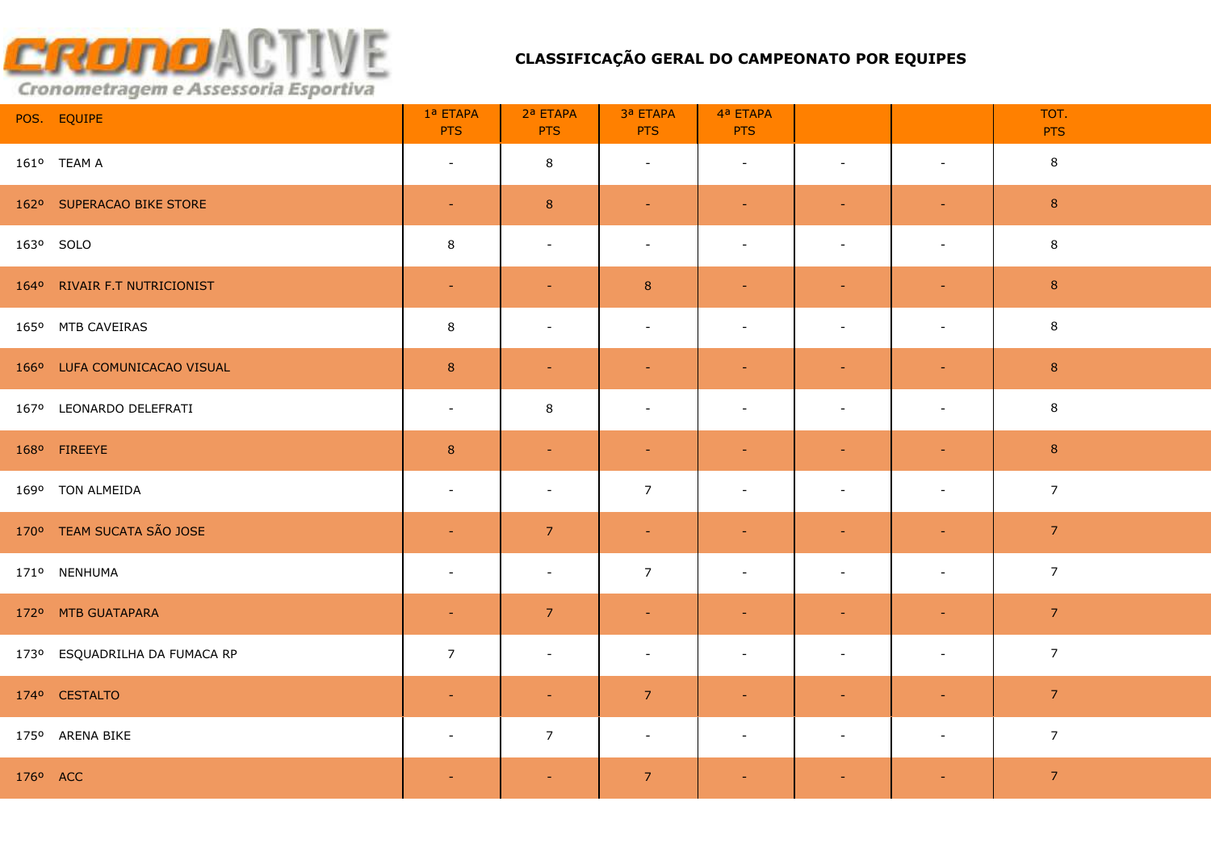|                      | POS. EQUIPE                   | 1ª ETAPA<br><b>PTS</b>   | 2ª ETAPA<br><b>PTS</b>   | 3ª ETAPA<br><b>PTS</b> | 4ª ETAPA<br><b>PTS</b>   |                          |                          | TOT.<br><b>PTS</b> |
|----------------------|-------------------------------|--------------------------|--------------------------|------------------------|--------------------------|--------------------------|--------------------------|--------------------|
|                      | 161º TEAM A                   | $\sim$                   | 8                        | $\sim$                 | $\sim$                   | $\sim$                   | $\sim$                   | 8                  |
|                      | 162º SUPERACAO BIKE STORE     | $\sim$                   | $\bf 8$                  | $\sim$                 | $\sim$                   | $\sim$                   | $\equiv$                 | $\,$ 8 $\,$        |
|                      | 163º SOLO                     | 8                        | $\sim$                   | $\sim$                 | $\sim$                   | $\blacksquare$           | $\overline{\phantom{a}}$ | 8                  |
|                      | 164º RIVAIR F.T NUTRICIONIST  | $\sim$                   | $\sim$                   | $8\phantom{1}$         | $\blacksquare$           | $\equiv$                 | $\blacksquare$           | 8                  |
|                      | 165º MTB CAVEIRAS             | 8                        | $\overline{\phantom{a}}$ | $\blacksquare$         | $\overline{\phantom{a}}$ | $\overline{\phantom{a}}$ | $\overline{\phantom{a}}$ | 8                  |
|                      | 166º LUFA COMUNICACAO VISUAL  | 8                        | $\sim$                   | $\blacksquare$         | $\blacksquare$           | $\sim$                   | $\sim$                   | $\,$ 8 $\,$        |
|                      | 167º LEONARDO DELEFRATI       | $\overline{\phantom{a}}$ | 8                        | $\blacksquare$         | $\overline{\phantom{a}}$ |                          | $\overline{\phantom{a}}$ | 8                  |
|                      | 168º FIREEYE                  | 8                        | $\sim$                   | $\blacksquare$         | $\blacksquare$           |                          | $\blacksquare$           | $\bf 8$            |
|                      | 169º TON ALMEIDA              | $\blacksquare$           | $\overline{\phantom{a}}$ | $\overline{7}$         | $\overline{\phantom{a}}$ |                          | $\sim$                   | $\overline{7}$     |
|                      | 170° TEAM SUCATA SÃO JOSE     | $\equiv$                 | $\overline{7}$           | $\sim$                 | $\sim$                   | $\sim$                   | $\blacksquare$           | 7 <sup>7</sup>     |
|                      | 171º NENHUMA                  | $\sim$                   | $\sim$                   | $\overline{7}$         | $\overline{\phantom{a}}$ | $\sim$                   | $\blacksquare$           | $\overline{7}$     |
|                      | 172º MTB GUATAPARA            | $\blacksquare$           | $\overline{7}$           | $\equiv$               | $\blacksquare$           |                          | $\sim$                   | 7 <sup>7</sup>     |
|                      | 173º ESQUADRILHA DA FUMACA RP | $\overline{7}$           | $\sim$                   | $\blacksquare$         | $\overline{\phantom{a}}$ | $\blacksquare$           | $\blacksquare$           | 7 <sup>7</sup>     |
|                      | 174º CESTALTO                 | $\blacksquare$           | $\sim$                   | 7 <sup>2</sup>         | ÷.                       | $\sim$                   | $\sim$                   | 7 <sup>7</sup>     |
|                      | 175º ARENA BIKE               | $\sim$                   | 7 <sup>7</sup>           | $\sim$                 | $\blacksquare$           | $\sim$                   | $\blacksquare$           | $\overline{7}$     |
| 176 <sup>o</sup> ACC |                               | $\equiv$                 | $\blacksquare$           | $\overline{7}$         |                          |                          |                          | $\overline{7}$     |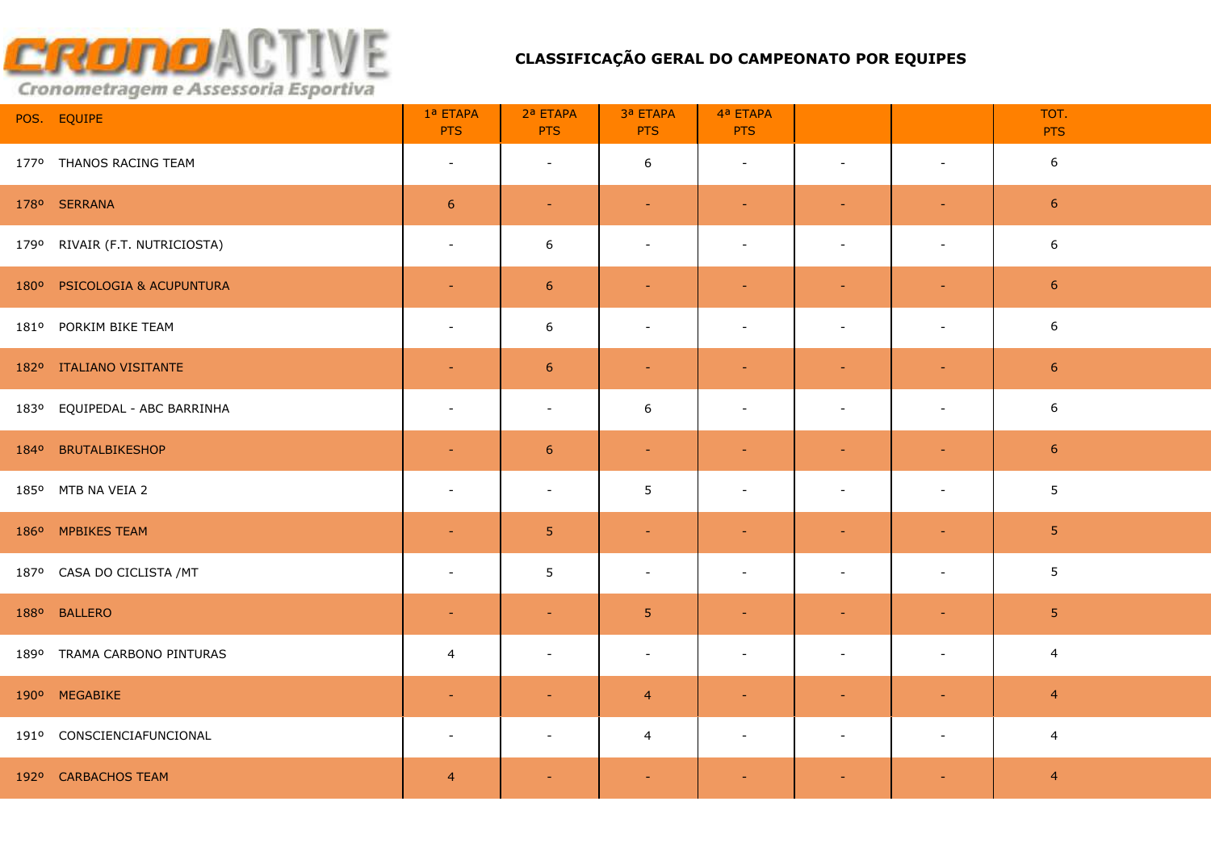| POS. EQUIPE                    | 1ª ETAPA<br><b>PTS</b>   | 2ª ETAPA<br><b>PTS</b>   | 3ª ETAPA<br><b>PTS</b>   | 4ª ETAPA<br><b>PTS</b>   |                          |                          | TOT.<br><b>PTS</b> |
|--------------------------------|--------------------------|--------------------------|--------------------------|--------------------------|--------------------------|--------------------------|--------------------|
| 1770 THANOS RACING TEAM        | $\overline{\phantom{a}}$ | $\overline{\phantom{a}}$ | 6                        | $\overline{\phantom{a}}$ | $\sim$                   | $\sim$                   | $\sqrt{6}$         |
| 178º SERRANA                   | $6\phantom{1}6$          | $\sim$                   | $\equiv$                 | ÷                        | $\sim$                   | $\overline{\phantom{a}}$ | $6\phantom{.}6$    |
| 179º RIVAIR (F.T. NUTRICIOSTA) | $\sim$                   | 6                        | $\blacksquare$           | $\overline{\phantom{a}}$ | $\overline{\phantom{a}}$ | $\overline{\phantom{a}}$ | $6\phantom{1}6$    |
| 180° PSICOLOGIA & ACUPUNTURA   | $\blacksquare$           | $\boldsymbol{6}$         | $\blacksquare$           | $\blacksquare$           | $\sim$                   | $\blacksquare$           | $6\,$              |
| 181º PORKIM BIKE TEAM          | $\sim$                   | 6                        | $\overline{\phantom{a}}$ | $\overline{\phantom{a}}$ |                          | $\overline{\phantom{a}}$ | 6                  |
| 182º ITALIANO VISITANTE        | $\sim$                   | $\boldsymbol{6}$         | $\equiv$                 | $\blacksquare$           | $\sim$                   | $\equiv$                 | $6\phantom{1}$     |
| 183º EQUIPEDAL - ABC BARRINHA  | $\blacksquare$           | $\overline{\phantom{a}}$ | 6                        | $\blacksquare$           |                          | $\overline{a}$           | $6\phantom{1}6$    |
| 184º BRUTALBIKESHOP            | $\blacksquare$           | 6                        | $\blacksquare$           | ٠                        |                          | $\equiv$                 | $6\phantom{1}6$    |
| 185º MTB NA VEIA 2             | $\overline{\phantom{a}}$ | $\overline{\phantom{a}}$ | 5                        | $\blacksquare$           |                          | $\blacksquare$           | 5 <sub>5</sub>     |
| 186° MPBIKES TEAM              | $\blacksquare$           | 5                        | $\blacksquare$           | $\blacksquare$           | $\sim$                   | $\equiv$                 | 5 <sub>1</sub>     |
| 187º CASA DO CICLISTA /MT      | $\blacksquare$           | 5                        | $\overline{\phantom{a}}$ | $\overline{\phantom{a}}$ | $\blacksquare$           | $\overline{\phantom{a}}$ | 5 <sub>5</sub>     |
| 188º BALLERO                   | ٠                        |                          | 5 <sub>o</sub>           | ۰                        |                          |                          | $\overline{5}$     |
| 189º TRAMA CARBONO PINTURAS    | $\overline{4}$           |                          | $\blacksquare$           | $\overline{\phantom{a}}$ | $\overline{\phantom{a}}$ | $\overline{\phantom{a}}$ | $\overline{4}$     |
| 190° MEGABIKE                  | ٠                        |                          | $\overline{4}$           |                          |                          |                          | $\overline{4}$     |
| 191º CONSCIENCIAFUNCIONAL      | $\blacksquare$           | $\overline{\phantom{a}}$ | $\overline{4}$           | $\overline{\phantom{a}}$ | $\overline{\phantom{a}}$ | $\overline{\phantom{a}}$ | $\overline{4}$     |
| 192º CARBACHOS TEAM            | $\overline{4}$           |                          |                          |                          |                          |                          | $\overline{4}$     |